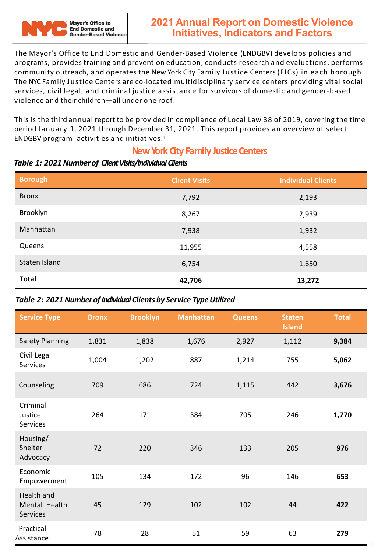

The Mayor's Office to End Domestic and Gender-Based Violence (ENDGBV) develops policies and programs, provides training and prevention education, conducts research and evaluations, performs community outreach, and operates the New York City Family Justice Centers (FJCs) in each borough. The NYC Family Justice Centers are co-located multidisciplinary service centers providing vital social services, civil legal, and criminal justice assistance for survivors of domestic and gender-based violence and their children—all under one roof.

This is the third annual report to be provided in compliance of Local Law 38 of 2019, covering the time period January 1, 2021 through December 31, 2021. This report provides an overview of select ENDGBV program activities and initiatives.1

## **New York City Family Justice Centers**

| <b>Borough</b> | <b>Client Visits</b> | <b>Individual Clients</b> |
|----------------|----------------------|---------------------------|
| <b>Bronx</b>   | 7,792                | 2,193                     |
| Brooklyn       | 8,267                | 2,939                     |
| Manhattan      | 7,938                | 1,932                     |
| Queens         | 11,955               | 4,558                     |
| Staten Island  | 6,754                | 1,650                     |
| <b>Total</b>   | 42,706               | 13,272                    |

#### *Table 1: 2021 Numberof Client Visits/Individual Clients*

### **Table 2: 2021 Number of Individual Clients by Service Type Utilized**

| <b>Service Type</b>                            | <b>Bronx</b> | <b>Brooklyn</b> | <b>Manhattan</b> | <b>Queens</b> | <b>Staten</b><br><b>Island</b> | <b>Total</b> |
|------------------------------------------------|--------------|-----------------|------------------|---------------|--------------------------------|--------------|
| <b>Safety Planning</b>                         | 1,831        | 1,838           | 1,676            | 2,927         | 1,112                          | 9,384        |
| Civil Legal<br>Services                        | 1,004        | 1,202           | 887              | 1,214         | 755                            | 5,062        |
| Counseling                                     | 709          | 686             | 724              | 1,115         | 442                            | 3,676        |
| Criminal<br>Justice<br><b>Services</b>         | 264          | 171             | 384              | 705           | 246                            | 1,770        |
| Housing/<br>Shelter<br>Advocacy                | 72           | 220             | 346              | 133           | 205                            | 976          |
| Economic<br>Empowerment                        | 105          | 134             | 172              | 96            | 146                            | 653          |
| Health and<br>Mental Health<br><b>Services</b> | 45           | 129             | 102              | 102           | 44                             | 422          |
| Practical<br>Assistance                        | 78           | 28              | 51               | 59            | 63                             | 279          |

1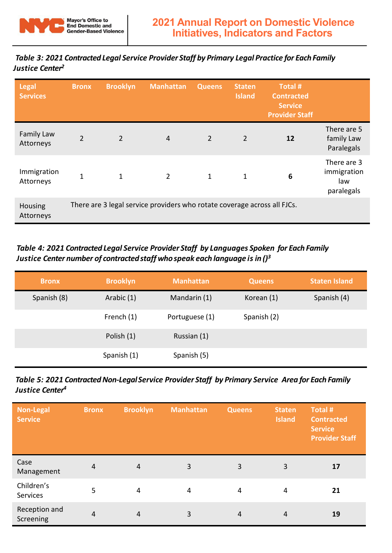

*Table 3: 2021 Contracted Legal Service Provider Staff by Primary Legal Practice for EachFamily Justice Center2*

| Legal<br><b>Services</b> | <b>Bronx</b>   | <b>Brooklyn</b> | <b>Manhattan</b>                                                         | <b>Queens</b>  | <b>Staten</b><br><b>Island</b> | Total #<br><b>Contracted</b><br><b>Service</b><br><b>Provider Staff</b> |                                                 |
|--------------------------|----------------|-----------------|--------------------------------------------------------------------------|----------------|--------------------------------|-------------------------------------------------------------------------|-------------------------------------------------|
| Family Law<br>Attorneys  | $\overline{2}$ | $\overline{2}$  | 4                                                                        | $\overline{2}$ | $\overline{2}$                 | 12                                                                      | There are 5<br>family Law<br>Paralegals         |
| Immigration<br>Attorneys | $\mathbf{1}$   | $\mathbf{1}$    | $\overline{2}$                                                           | $\mathbf{1}$   | $\mathbf{1}$                   | 6                                                                       | There are 3<br>immigration<br>law<br>paralegals |
| Housing<br>Attorneys     |                |                 | There are 3 legal service providers who rotate coverage across all FJCs. |                |                                |                                                                         |                                                 |

## *Table 4: 2021 Contracted Legal Service Provider Staff by Languages Spoken for Each Family Justice Center number of contracted staff who speak each language is in ()<sup>3</sup>*

| <b>Bronx</b> | <b>Brooklyn</b> | <b>Manhattan</b> | <b>Queens</b> | <b>Staten Island</b> |
|--------------|-----------------|------------------|---------------|----------------------|
| Spanish (8)  | Arabic (1)      | Mandarin (1)     | Korean (1)    | Spanish (4)          |
|              | French (1)      | Portuguese (1)   | Spanish (2)   |                      |
|              | Polish (1)      | Russian (1)      |               |                      |
|              | Spanish (1)     | Spanish (5)      |               |                      |

| Table 5: 2021 Contracted Non-Legal Service Provider Staff by Primary Service Area for Each Family |  |
|---------------------------------------------------------------------------------------------------|--|
| Justice Center <sup>4</sup>                                                                       |  |

| <b>Non-Legal</b><br><b>Service</b> | <b>Bronx</b>   | <b>Brooklyn</b> | <b>Manhattan</b> | <b>Queens</b>  | <b>Staten</b><br><b>Island</b> | Total #<br><b>Contracted</b><br><b>Service</b><br><b>Provider Staff</b> |
|------------------------------------|----------------|-----------------|------------------|----------------|--------------------------------|-------------------------------------------------------------------------|
| Case<br>Management                 | $\overline{4}$ | $\overline{4}$  | 3                | 3              | 3                              | 17                                                                      |
| Children's<br>Services             | 5              | 4               | 4                | $\overline{4}$ | $\overline{4}$                 | 21                                                                      |
| Reception and<br>Screening         | $\overline{4}$ | $\overline{4}$  | 3                | 4              | 4                              | 19                                                                      |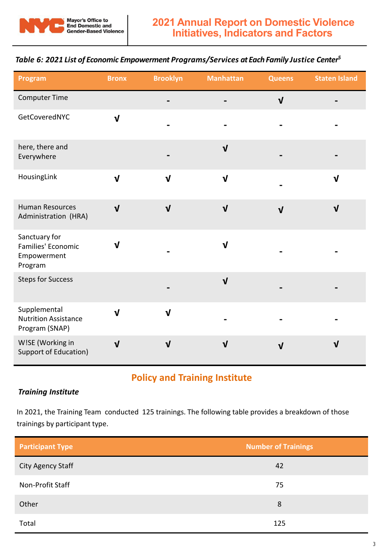

#### *Table 6: 2021 List of Economic Empowerment Programs/Services at Each Family Justice Center5*

| Program                                                       | <b>Bronx</b>            | <b>Brooklyn</b> | <b>Manhattan</b> | <b>Queens</b> | <b>Staten Island</b> |
|---------------------------------------------------------------|-------------------------|-----------------|------------------|---------------|----------------------|
| Computer Time                                                 |                         |                 |                  | $\sqrt{ }$    |                      |
| GetCoveredNYC                                                 | $\mathbf{V}$            |                 |                  |               |                      |
| here, there and<br>Everywhere                                 |                         |                 | $\mathbf{V}$     |               |                      |
| HousingLink                                                   | $\overline{\mathbf{V}}$ | $\sqrt{ }$      | $\mathbf v$      |               | $\mathbf v$          |
| <b>Human Resources</b><br>Administration (HRA)                | $\mathbf{V}$            | $\mathbf{V}$    | $\mathbf v$      | $\sqrt{ }$    | $\mathbf{V}$         |
| Sanctuary for<br>Families' Economic<br>Empowerment<br>Program | V                       |                 | $\mathbf v$      |               |                      |
| <b>Steps for Success</b>                                      |                         |                 | $\mathbf{V}$     |               |                      |
| Supplemental<br><b>Nutrition Assistance</b><br>Program (SNAP) | $\mathbf{V}$            | $\mathbf{V}$    |                  |               |                      |
| W!SE (Working in<br>Support of Education)                     | $\mathbf{V}$            | $\mathbf{V}$    | $\mathbf{V}$     | $\mathbf{V}$  | $\mathbf v$          |

# **Policy and Training Institute**

#### *Training Institute*

In 2021, the Training Team conducted 125 trainings. The following table provides a breakdown of those trainings by participant type.

| <b>Participant Type</b> | <b>Number of Trainings</b> |
|-------------------------|----------------------------|
| City Agency Staff       | 42                         |
| Non-Profit Staff        | 75                         |
| Other                   | 8                          |
| Total                   | 125                        |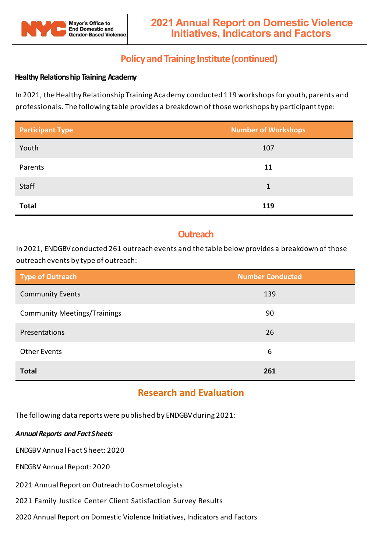

## **Policy and Training Institute(continued)**

#### **Healthy Relationship Training Academy**

In 2021, the Healthy Relationship Training Academy conducted 119 workshops for youth, parents and professionals. The following table provides a breakdown of those workshops by participanttype:

| <b>Participant Type</b> | <b>Number of Workshops</b> |
|-------------------------|----------------------------|
| Youth                   | 107                        |
| Parents                 | 11                         |
| Staff                   | 1                          |
| <b>Total</b>            | 119                        |

## **Outreach**

In 2021, ENDGBVconducted 261 outreach events and the table below provides a breakdown of those outreach events by type of outreach:

| <b>Type of Outreach</b>             | <b>Number Conducted</b> |
|-------------------------------------|-------------------------|
| <b>Community Events</b>             | 139                     |
| <b>Community Meetings/Trainings</b> | 90                      |
| Presentations                       | 26                      |
| <b>Other Events</b>                 | 6                       |
| <b>Total</b>                        | 261                     |

## **Research and Evaluation**

The following data reports were published by ENDGBV during 2021:

#### *AnnualReports and FactSheets*

ENDGBV Annual Fact Sheet: 2020

ENDGBV Annual Report: 2020

2021 Annual Report on Outreach to Cosmetologists

2021 Family Justice Center Client Satisfaction Survey Results

2020 Annual Report on Domestic Violence Initiatives, Indicators and Factors